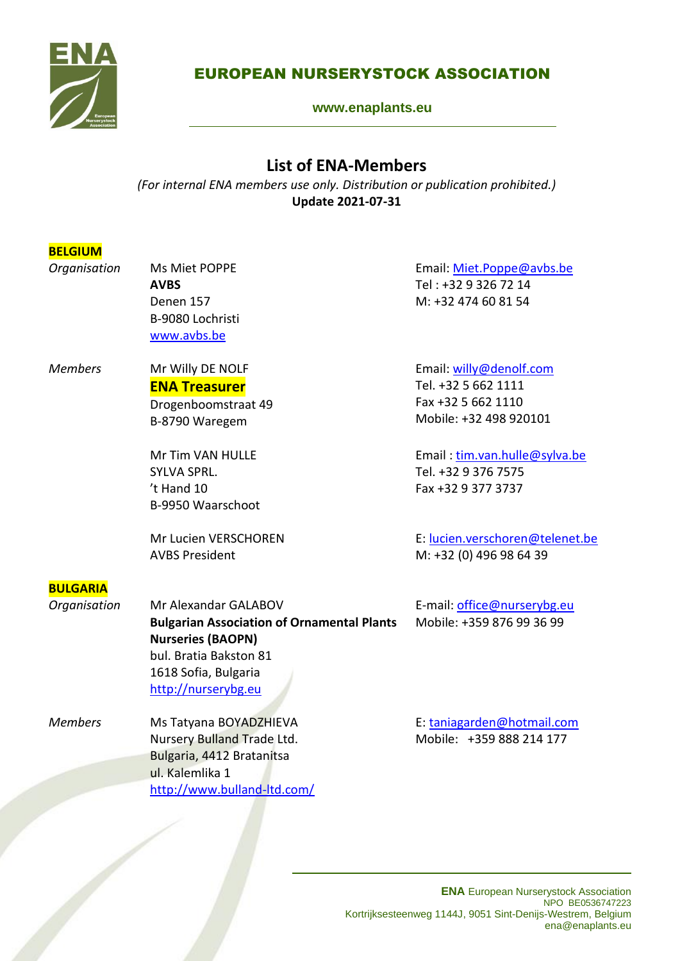

**[www.enaplants.eu](http://www.enaplants.eu/)**

### **List of ENA-Members**

*(For internal ENA members use only. Distribution or publication prohibited.)* **Update 2021-07-31**

### **BELGIUM**

| Organisation    | Ms Miet POPPE<br><b>AVBS</b><br>Denen 157<br>B-9080 Lochristi<br>www.avbs.be                                                                                                   | Email: Miet.Poppe@avbs.be<br>Tel: +32 9 326 72 14<br>M: +32 474 60 81 54                       |
|-----------------|--------------------------------------------------------------------------------------------------------------------------------------------------------------------------------|------------------------------------------------------------------------------------------------|
| <b>Members</b>  | Mr Willy DE NOLF<br><b>ENA Treasurer</b><br>Drogenboomstraat 49<br>B-8790 Waregem                                                                                              | Email: willy@denolf.com<br>Tel. +32 5 662 1111<br>Fax +32 5 662 1110<br>Mobile: +32 498 920101 |
|                 | Mr Tim VAN HULLE<br><b>SYLVA SPRL.</b><br>'t Hand 10<br>B-9950 Waarschoot                                                                                                      | Email: tim.van.hulle@sylva.be<br>Tel. +32 9 376 7575<br>Fax +32 9 377 3737                     |
|                 | Mr Lucien VERSCHOREN<br><b>AVBS President</b>                                                                                                                                  | E: lucien.verschoren@telenet.be<br>M: +32 (0) 496 98 64 39                                     |
| <b>BULGARIA</b> |                                                                                                                                                                                |                                                                                                |
| Organisation    | Mr Alexandar GALABOV<br><b>Bulgarian Association of Ornamental Plants</b><br><b>Nurseries (BAOPN)</b><br>bul. Bratia Bakston 81<br>1618 Sofia, Bulgaria<br>http://nurserybg.eu | E-mail: office@nurserybg.eu<br>Mobile: +359 876 99 36 99                                       |
| <b>Members</b>  | Ms Tatyana BOYADZHIEVA<br>Nursery Bulland Trade Ltd.<br>Bulgaria, 4412 Bratanitsa<br>ul. Kalemlika 1<br>http://www.bulland-ltd.com/                                            | E: taniagarden@hotmail.com<br>Mobile: +359 888 214 177                                         |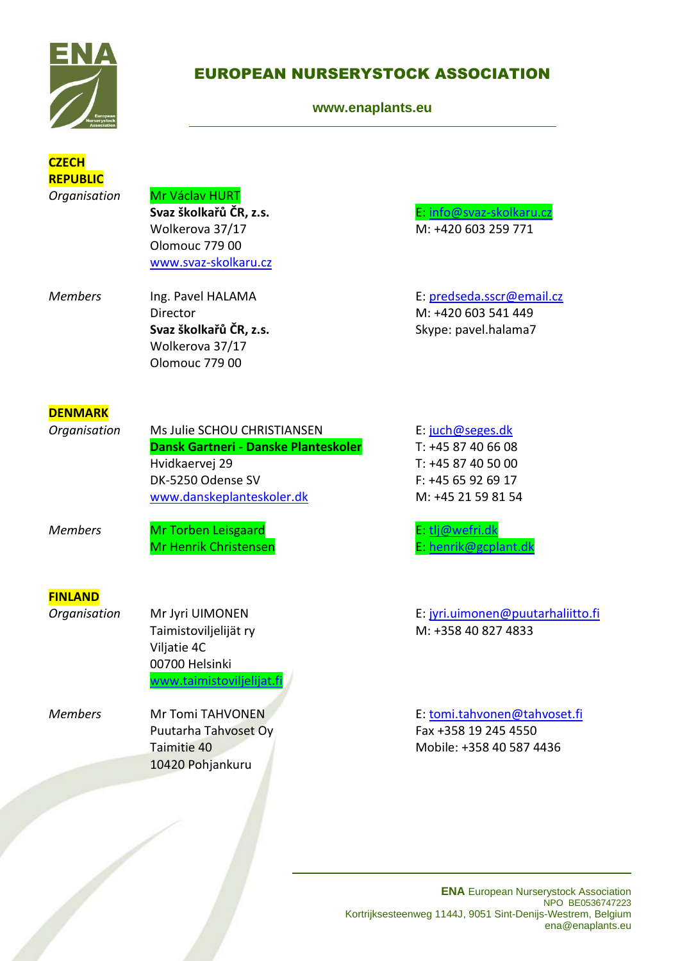

**[www.enaplants.eu](http://www.enaplants.eu/)**

### **CZECH REPUBLIC** *Organisation* Mr Václav HURT

**Svaz školkařů ČR, z.s.** Wolkerova 37/17 Olomouc 779 00 [www.svaz-skolkaru.cz](http://www.svaz-skolkaru.cz/)

*Members* Ing. Pavel HALAMA Director **Svaz školkařů ČR, z.s.** Wolkerova 37/17 Olomouc 779 00

M: +420 603 259 771

E: info@svaz-skolkaru.cz

E[: predseda.sscr@email.cz](mailto:predseda.sscr@email.cz) M: +420 603 541 449 Skype: pavel.halama7

### **DENMARK**

| Organisation | Ms Julie SCHOU CHRISTIANSEN          |
|--------------|--------------------------------------|
|              | Dansk Gartneri - Danske Planteskoler |
|              | Hvidkaervej 29                       |
|              | DK-5250 Odense SV                    |
|              | www.danskeplanteskoler.dk            |
|              |                                      |

E[: juch@seges.dk](mailto:juch@seges.dk) T: +45 87 40 66 08 T: +45 87 40 50 00 F: +45 65 92 69 17 M: +45 21 59 81 54

*Members* **Mr Torben Leisgaard E: tli@wefri.dk** Mr Henrik Christensen E[: henrik@gcplant.dk](mailto:henrik@gcplant.dk)

# **FINLAND**

*Organisation* Mr Jyri UIMONEN Taimistoviljelijät ry Viljatie 4C 00700 Helsinki [www.taimistoviljelijat.fi](http://www.taimistoviljelijat.fi/)

*Members* Mr Tomi TAHVONEN Puutarha Tahvoset Oy Taimitie 40 10420 Pohjankuru

E[: jyri.uimonen@puutarhaliitto.fi](mailto:jyri.uimonen@puutarhaliitto.fi) M: +358 40 827 4833

E[: tomi.tahvonen@tahvoset.fi](mailto:tomi.tahvonen@tahvoset.fi) Fax +358 19 245 4550 Mobile: +358 40 587 4436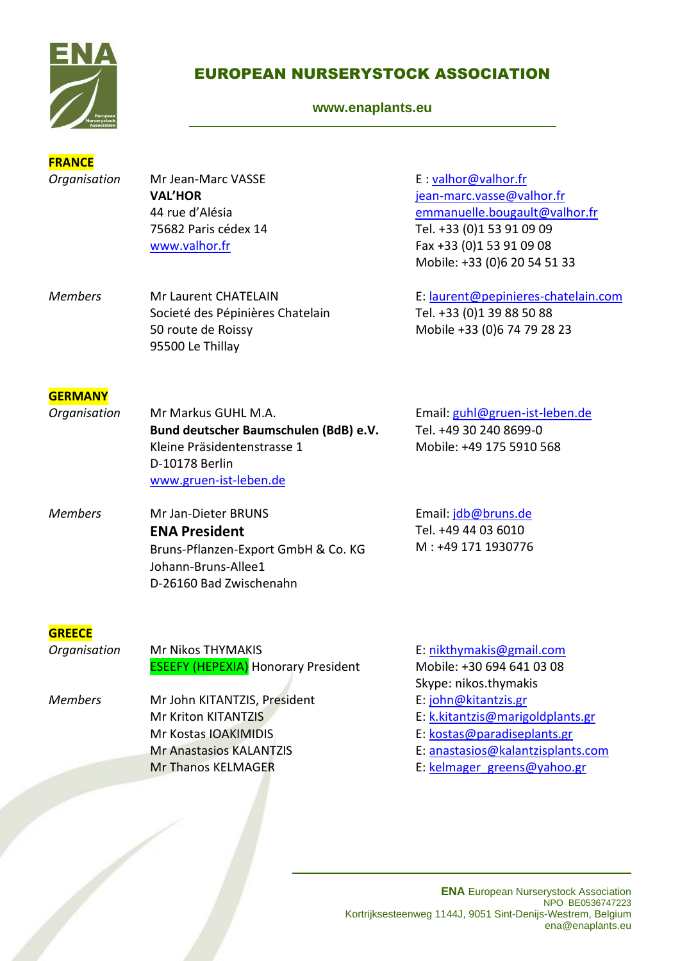

#### **[www.enaplants.eu](http://www.enaplants.eu/)**

#### **FRANCE** *Organisation* Mr Jean-Marc VASSE **VAL'HOR** 44 rue d'Alésia 75682 Paris cédex 14 [www.valhor.fr](http://www.valhor.fr/) E : [valhor@valhor.fr](mailto:valhor@valhor.fr) [jean-marc.vasse@valhor.fr](mailto:jean-marc.vasse@valhor.fr) [emmanuelle.bougault@valhor.fr](mailto:emmanuelle.bougault@valhor.fr) Tel. +33 (0)1 53 91 09 09 Fax +33 (0)1 53 91 09 08 Mobile: +33 (0)6 20 54 51 33 *Members* Mr Laurent CHATELAIN Societé des Pépinières Chatelain 50 route de Roissy 95500 Le Thillay E[: laurent@pepinieres-chatelain.com](mailto:laurent@pepinieres-chatelain.com) Tel. +33 (0)1 39 88 50 88 Mobile +33 (0)6 74 79 28 23 **GERMANY**

| Organisation | Mr Markus GUHL M.A.                   | Email: guhl@gruen-ist-leben.de |
|--------------|---------------------------------------|--------------------------------|
|              | Bund deutscher Baumschulen (BdB) e.V. | Tel. +49 30 240 8699-0         |
|              | Kleine Präsidentenstrasse 1           | Mobile: +49 175 5910 568       |
|              | D-10178 Berlin                        |                                |
|              | www.gruen-ist-leben.de                |                                |
|              |                                       |                                |

| <b>Members</b> | Mr Jan-Dieter BRUNS                 | Email: jdb@bruns.de |
|----------------|-------------------------------------|---------------------|
|                | <b>ENA President</b>                | Tel. +49 44 03 6010 |
|                | Bruns-Pflanzen-Export GmbH & Co. KG | M: +49 171 1930776  |
|                | Johann-Bruns-Allee1                 |                     |
|                | D-26160 Bad Zwischenahn             |                     |

### **GREECE**

| Organisation   | Mr Nikos THYMAKIS                          | E: nikthymakis@gmail.com          |
|----------------|--------------------------------------------|-----------------------------------|
|                | <b>ESEEFY (HEPEXIA) Honorary President</b> | Mobile: +30 694 641 03 08         |
|                |                                            | Skype: nikos.thymakis             |
| <b>Members</b> | Mr John KITANTZIS, President               | E: john@kitantzis.gr              |
|                | Mr Kriton KITANTZIS                        | E: k.kitantzis@marigoldplants.gr  |
|                | Mr Kostas IOAKIMIDIS                       | E: kostas@paradiseplants.gr       |
|                | <b>Mr Anastasios KALANTZIS</b>             | E: anastasios@kalantzisplants.com |
|                | <b>Mr Thanos KELMAGER</b>                  | E: kelmager greens@yahoo.gr       |
|                |                                            |                                   |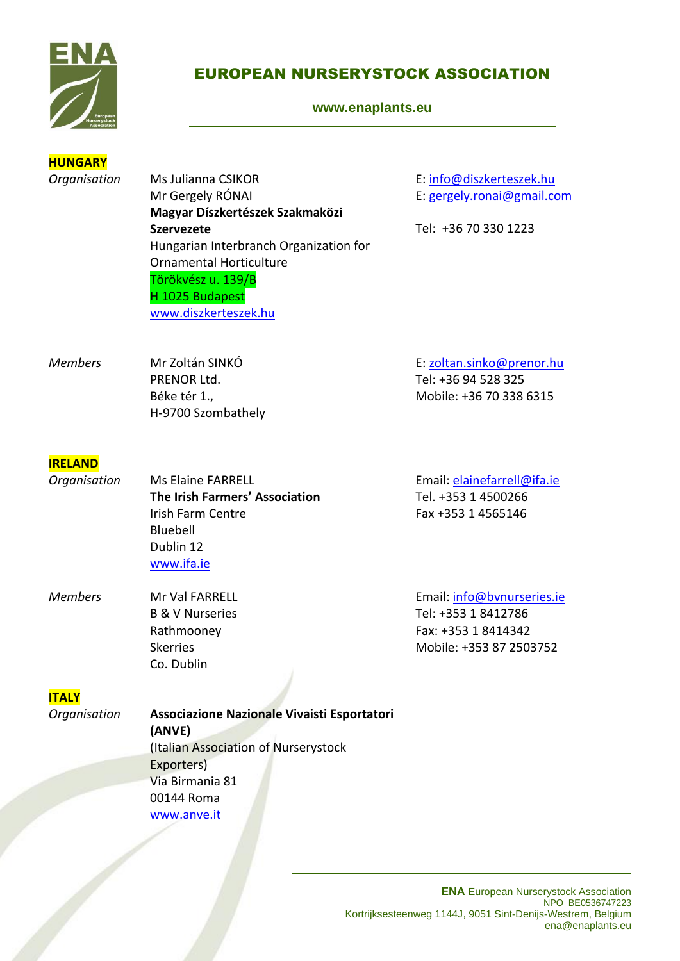

| <b>HUNGARY</b>                 |                                                                                                                                                                                                                                             |                                                                                                     |
|--------------------------------|---------------------------------------------------------------------------------------------------------------------------------------------------------------------------------------------------------------------------------------------|-----------------------------------------------------------------------------------------------------|
| Organisation                   | Ms Julianna CSIKOR<br>Mr Gergely RÓNAI<br>Magyar Díszkertészek Szakmaközi<br><b>Szervezete</b><br>Hungarian Interbranch Organization for<br><b>Ornamental Horticulture</b><br>Törökvész u. 139/B<br>H 1025 Budapest<br>www.diszkerteszek.hu | E: info@diszkerteszek.hu<br>E: gergely.ronai@gmail.com<br>Tel: +36 70 330 1223                      |
| <b>Members</b>                 | Mr Zoltán SINKÓ<br>PRENOR Ltd.<br>Béke tér 1.,<br>H-9700 Szombathely                                                                                                                                                                        | E: zoltan.sinko@prenor.hu<br>Tel: +36 94 528 325<br>Mobile: +36 70 338 6315                         |
| <b>IRELAND</b><br>Organisation | <b>Ms Elaine FARRELL</b><br>The Irish Farmers' Association<br>Irish Farm Centre<br>Bluebell<br>Dublin 12<br>www.ifa.ie                                                                                                                      | Email: elainefarrell@ifa.ie<br>Tel. +353 1 4500266<br>Fax +353 1 4565146                            |
| <b>Members</b>                 | Mr Val FARRELL<br><b>B &amp; V Nurseries</b><br>Rathmooney<br><b>Skerries</b><br>Co. Dublin                                                                                                                                                 | Email: info@bvnurseries.ie<br>Tel: +353 1 8412786<br>Fax: +353 1 8414342<br>Mobile: +353 87 2503752 |
| <b>ITALY</b><br>Organisation   | Associazione Nazionale Vivaisti Esportatori<br>(ANVE)<br>(Italian Association of Nurserystock<br>Exporters)<br>Via Birmania 81<br>00144 Roma<br>www.anve.it                                                                                 |                                                                                                     |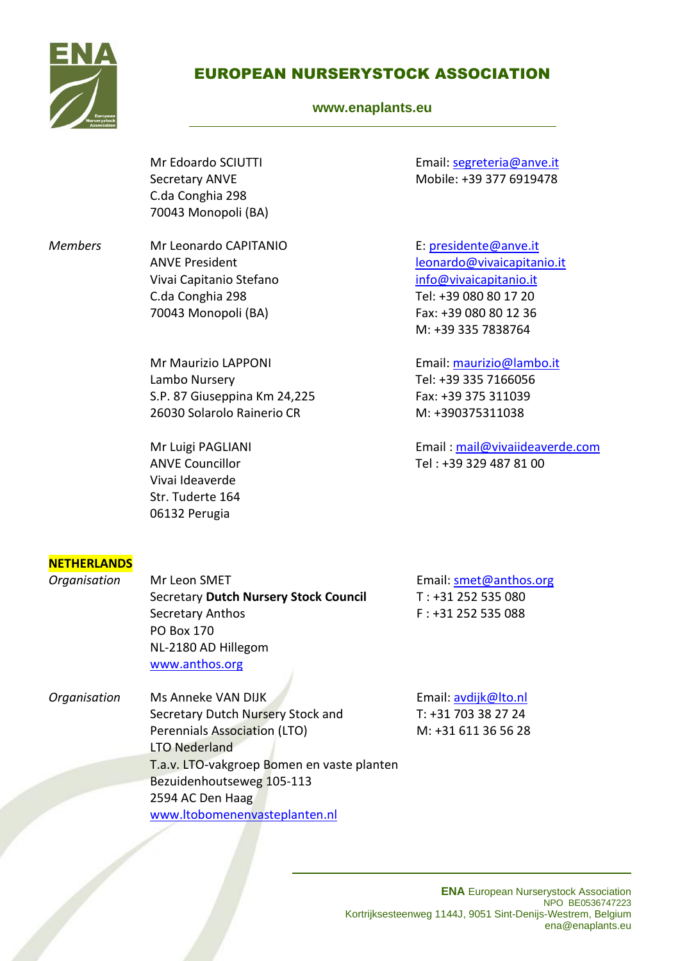

| Mr Edoardo SCIUTTI<br>Email: segreteria@anve.it<br>Mobile: +39 377 6919478<br><b>Secretary ANVE</b><br>C.da Conghia 298<br>70043 Monopoli (BA)<br><b>Members</b><br>Mr Leonardo CAPITANIO<br>E: presidente@anve.it<br><b>ANVE President</b><br>leonardo@vivaicapitanio.it<br>Vivai Capitanio Stefano<br>info@vivaicapitanio.it<br>C.da Conghia 298<br>Tel: +39 080 80 17 20<br>70043 Monopoli (BA)<br>Fax: +39 080 80 12 36<br>M: +39 335 7838764<br>Email: maurizio@lambo.it<br>Mr Maurizio LAPPONI<br>Tel: +39 335 7166056<br>Lambo Nursery<br>S.P. 87 Giuseppina Km 24,225<br>Fax: +39 375 311039<br>26030 Solarolo Rainerio CR<br>M: +390375311038 |  |
|--------------------------------------------------------------------------------------------------------------------------------------------------------------------------------------------------------------------------------------------------------------------------------------------------------------------------------------------------------------------------------------------------------------------------------------------------------------------------------------------------------------------------------------------------------------------------------------------------------------------------------------------------------|--|
|                                                                                                                                                                                                                                                                                                                                                                                                                                                                                                                                                                                                                                                        |  |
|                                                                                                                                                                                                                                                                                                                                                                                                                                                                                                                                                                                                                                                        |  |
|                                                                                                                                                                                                                                                                                                                                                                                                                                                                                                                                                                                                                                                        |  |
| Email: mail@vivaiideaverde.com<br>Mr Luigi PAGLIANI<br><b>ANVE Councillor</b><br>Tel: +39 329 487 81 00<br>Vivai Ideaverde<br>Str. Tuderte 164<br>06132 Perugia                                                                                                                                                                                                                                                                                                                                                                                                                                                                                        |  |
| <b>NETHERLANDS</b>                                                                                                                                                                                                                                                                                                                                                                                                                                                                                                                                                                                                                                     |  |
| Organisation<br>Mr Leon SMET<br>Email: smet@anthos.org<br><b>Secretary Dutch Nursery Stock Council</b><br>$T: +31252535080$<br>Secretary Anthos<br>$F: +31252535088$<br><b>PO Box 170</b><br>NL-2180 AD Hillegom<br>www.anthos.org                                                                                                                                                                                                                                                                                                                                                                                                                     |  |
| Ms Anneke VAN DIJK<br>Organisation<br>Email: avdijk@lto.nl<br>Secretary Dutch Nursery Stock and<br>T: +31 703 38 27 24<br>Perennials Association (LTO)<br>M: +31 611 36 56 28<br><b>LTO Nederland</b>                                                                                                                                                                                                                                                                                                                                                                                                                                                  |  |
| T.a.v. LTO-vakgroep Bomen en vaste planten<br>Bezuidenhoutseweg 105-113<br>2594 AC Den Haag<br>www.ltobomenenvasteplanten.nl                                                                                                                                                                                                                                                                                                                                                                                                                                                                                                                           |  |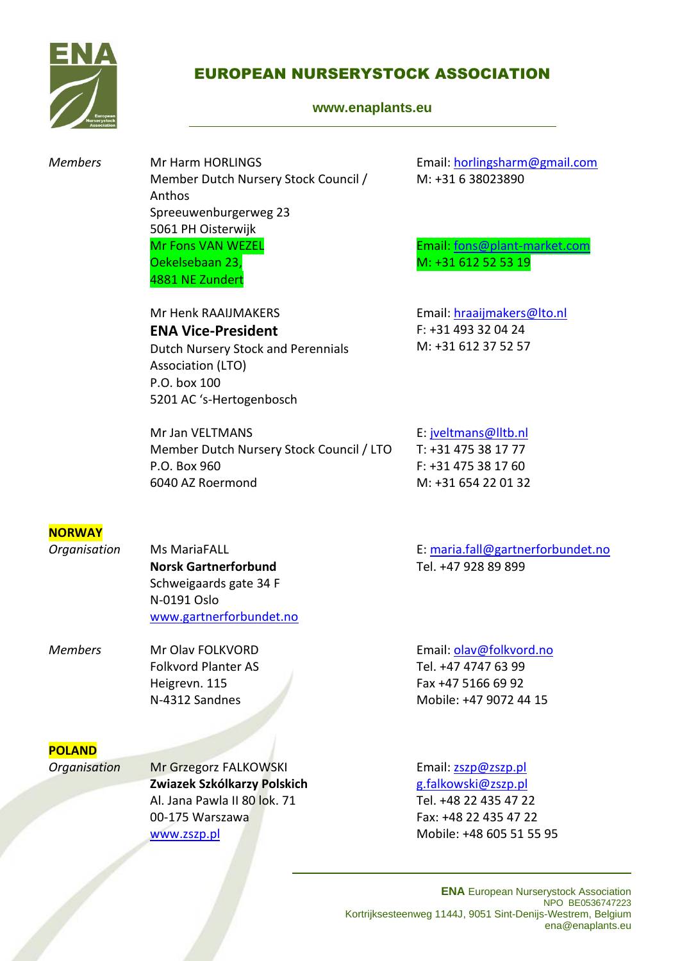

#### **[www.enaplants.eu](http://www.enaplants.eu/)**

*Members* Mr Harm HORLINGS Member Dutch Nursery Stock Council / Anthos Spreeuwenburgerweg 23 5061 PH Oisterwijk Mr Fons VAN WEZEL Oekelsebaan 23, 4881 NE Zundert

> Mr Henk RAAIJMAKERS **ENA Vice-President** Dutch Nursery Stock and Perennials Association (LTO) P.O. box 100 5201 AC 's-Hertogenbosch

Email: [horlingsharm@gmail.com](mailto:horlingsharm@gmail.com) M: +31 6 38023890

Email: [fons@plant-market.com](mailto:fons@plant-market.com) M: +31 612 52 53 19

Email: [hraaijmakers@lto.nl](mailto:hraaijmakers@lto.nl) F: +31 493 32 04 24 M: +31 612 37 52 57

Mr Jan VELTMANS Member Dutch Nursery Stock Council / LTO P.O. Box 960 6040 AZ Roermond

E: [jveltmans@lltb.nl](mailto:jveltmans@lltb.nl) T: +31 475 38 17 77 F: +31 475 38 17 60 M: +31 654 22 01 32

### **NORWAY**

| Organisation | Ms MariaFALL                | E: maria.fall@gartnerforbundet.no |
|--------------|-----------------------------|-----------------------------------|
|              | <b>Norsk Gartnerforbund</b> | Tel. +47 928 89 899               |
|              | Schweigaards gate 34 F      |                                   |
|              | N-0191 Oslo                 |                                   |
|              | www.gartnerforbundet.no     |                                   |

| Members | Mr Olav FOLKVORD           | Email: olav@folkvord.no |
|---------|----------------------------|-------------------------|
|         | <b>Folkvord Planter AS</b> | Tel. +47 4747 63 99     |
|         | Heigrevn. 115              | Fax +47 5166 69 92      |
|         | N-4312 Sandnes             | Mobile: +47 9072 44 15  |
|         |                            |                         |

### **POLAND**

*Organisation* Mr Grzegorz FALKOWSKI **Zwiazek Szkólkarzy Polskich** Al. Jana Pawla II 80 lok. 71 00-175 Warszawa [www.zszp.pl](http://www.zszp.pl/)

Email: [zszp@zszp.pl](mailto:zszp@zszp.pl) [g.falkowski@zszp.pl](mailto:g.falkowski@zszp.pl) Tel. +48 22 435 47 22 Fax: +48 22 435 47 22 Mobile: +48 605 51 55 95

**ENA** European Nurserystock Association NPO BE0536747223 Kortrijksesteenweg 1144J, 9051 Sint-Denijs-Westrem, Belgium [ena@enaplants.eu](mailto:ena@enaplants.eu)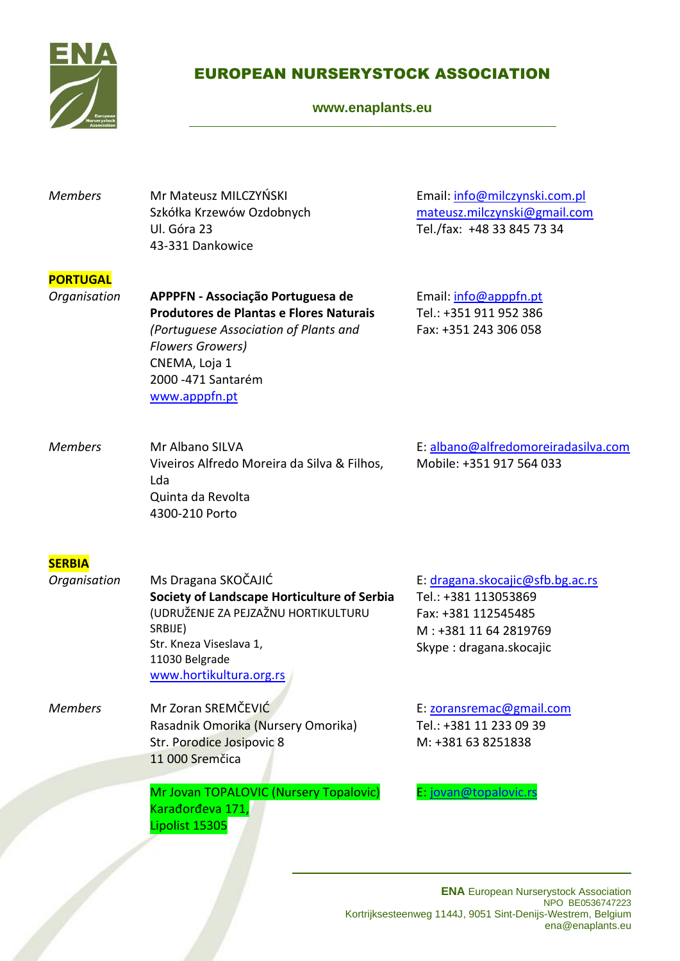

| <b>Members</b>                  | Mr Mateusz MILCZYŃSKI<br>Szkółka Krzewów Ozdobnych<br>Ul. Góra 23<br>43-331 Dankowice                                                                                                                     | Email: info@milczynski.com.pl<br>mateusz.milczynski@gmail.com<br>Tel./fax: +48 33 845 73 34                                         |
|---------------------------------|-----------------------------------------------------------------------------------------------------------------------------------------------------------------------------------------------------------|-------------------------------------------------------------------------------------------------------------------------------------|
| <b>PORTUGAL</b><br>Organisation | APPPFN - Associação Portuguesa de<br>Produtores de Plantas e Flores Naturais<br>(Portuguese Association of Plants and<br><b>Flowers Growers)</b><br>CNEMA, Loja 1<br>2000 - 471 Santarém<br>www.apppfn.pt | Email: info@apppfn.pt<br>Tel.: +351 911 952 386<br>Fax: +351 243 306 058                                                            |
| <b>Members</b>                  | Mr Albano SILVA<br>Viveiros Alfredo Moreira da Silva & Filhos,<br>Lda<br>Quinta da Revolta<br>4300-210 Porto                                                                                              | E: albano@alfredomoreiradasilva.com<br>Mobile: +351 917 564 033                                                                     |
| <b>SERBIA</b><br>Organisation   | Ms Dragana SKOČAJIĆ<br>Society of Landscape Horticulture of Serbia<br>(UDRUŽENJE ZA PEJZAŽNU HORTIKULTURU<br>SRBIJE)<br>Str. Kneza Viseslava 1,<br>11030 Belgrade<br>www.hortikultura.org.rs              | E: dragana.skocajic@sfb.bg.ac.rs<br>Tel.: +381 113053869<br>Fax: +381 112545485<br>M: +381 11 64 2819769<br>Skype: dragana.skocajic |
| <b>Members</b>                  | Mr Zoran SREMČEVIĆ<br>Rasadnik Omorika (Nursery Omorika)<br>Str. Porodice Josipovic 8<br>11 000 Sremčica                                                                                                  | E: zoransremac@gmail.com<br>Tel.: +381 11 233 09 39<br>M: +381 63 8251838                                                           |
|                                 | Mr Jovan TOPALOVIC (Nursery Topalovic)<br>Karađorđeva 171,<br>Lipolist 15305                                                                                                                              | E: jovan@topalovic.rs                                                                                                               |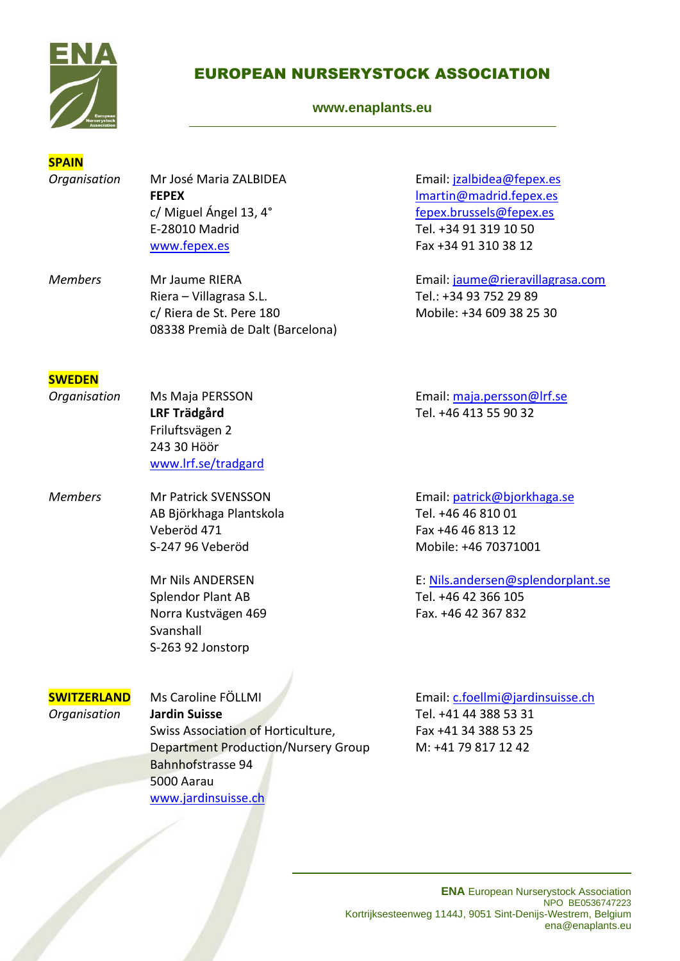

#### **[www.enaplants.eu](http://www.enaplants.eu/)**

| <b>SPAIN</b>   |                        |                                  |
|----------------|------------------------|----------------------------------|
| Organisation   | Mr José Maria ZALBIDEA | Email: jzalbidea@fepex.es        |
|                | <b>FEPEX</b>           | Imartin@madrid.fepex.es          |
|                | c/ Miguel Ángel 13, 4° | fepex.brussels@fepex.es          |
|                | E-28010 Madrid         | Tel. +34 91 319 10 50            |
|                | www.fepex.es           | Fax +34 91 310 38 12             |
| <b>Members</b> | Mr Jaume RIERA         | Email: jaume@rieravillagrasa.com |

Riera – Villagrasa S.L. c/ Riera de St. Pere 180 08338 Premià de Dalt (Barcelona) Tel.: +34 93 752 29 89 Mobile: +34 609 38 25 30

#### **SWEDEN**

**SWITZERLAND** *Organisation*

- *Organisation* Ms Maja PERSSON **LRF Trädgård** Friluftsvägen 2 243 30 Höör [www.lrf.se/tradgard](http://www.lrf.se/tradgard) Email: [maja.persson@lrf.se](mailto:maja.persson@lrf.se) Tel. +46 413 55 90 32
- *Members* Mr Patrick SVENSSON AB Björkhaga Plantskola Veberöd 471 S-247 96 Veberöd Email: [patrick@bjorkhaga.se](mailto:patrick@bjorkhaga.se) Tel. +46 46 810 01 Fax +46 46 813 12 Mobile: +46 70371001

Mr Nils ANDERSEN Splendor Plant AB Norra Kustvägen 469 Svanshall S-263 92 Jonstorp

Ms Caroline FÖLLMI

Bahnhofstrasse 94

[www.jardinsuisse.ch](http://www.jardinsuisse.ch/)

Swiss Association of Horticulture,

Department Production/Nursery Group

**Jardin Suisse**

5000 Aarau

E[: Nils.andersen@splendorplant.se](mailto:Nils.andersen@splendorplant.se) Tel. +46 42 366 105 Fax. +46 42 367 832

Email: [c.foellmi@jardinsuisse.ch](mailto:c.foellmi@jardinsuisse.ch) Tel. +41 44 388 53 31 Fax +41 34 388 53 25 M: +41 79 817 12 42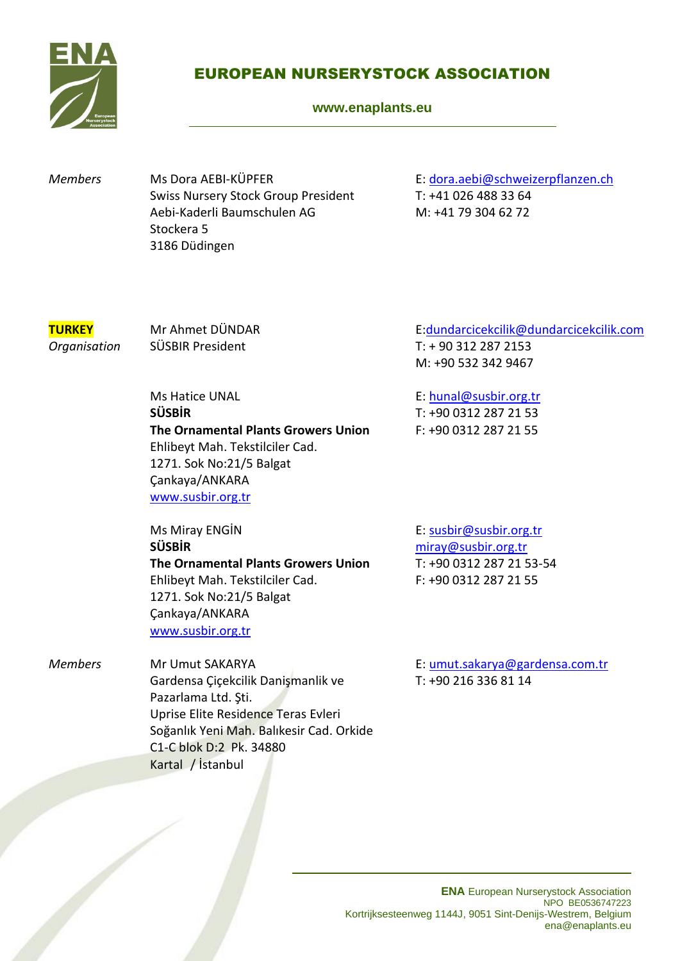

#### **[www.enaplants.eu](http://www.enaplants.eu/)**

*Members* Ms Dora AEBI-KÜPFER Swiss Nursery Stock Group President Aebi-Kaderli Baumschulen AG Stockera 5 3186 Düdingen

E[: dora.aebi@schweizerpflanzen.ch](mailto:dora.aebi@schweizerpflanzen.ch) T: +41 026 488 33 64 M: +41 79 304 62 72

#### **TURKEY** *Organisation*

Mr Ahmet DÜNDAR SÜSBIR President

E[:dundarcicekcilik@dundarcicekcilik.com](mailto:dundarcicekcilik@dundarcicekcilik.com)

T: + 90 312 287 2153 M: +90 532 342 9467

Ms Hatice UNAL **SÜSBİR The Ornamental Plants Growers Union** Ehlibeyt Mah. Tekstilciler Cad. 1271. Sok No:21/5 Balgat Çankaya/ANKARA [www.susbir.org.tr](http://www.susbir.org.tr/)

E[: hunal@susbir.org.tr](mailto:hunal@susbir.org.tr) T: +90 0312 287 21 53 F: +90 0312 287 21 55

Ms Miray ENGİN **SÜSBİR The Ornamental Plants Growers Union** Ehlibeyt Mah. Tekstilciler Cad. 1271. Sok No:21/5 Balgat Çankaya/ANKARA [www.susbir.org.tr](http://www.susbir.org.tr/)

E[: susbir@susbir.org.tr](mailto:susbir@susbir.org.tr) [miray@susbir.org.tr](mailto:miray@susbir.org.tr) T: +90 0312 287 21 53-54 F: +90 0312 287 21 55

E[: umut.sakarya@gardensa.com.tr](mailto:umut.sakarya@gardensa.com.tr) T: +90 216 336 81 14

*Members* Mr Umut SAKARYA Gardensa Çiçekcilik Danişmanlik ve Pazarlama Ltd. Şti. Uprise Elite Residence Teras Evleri Soğanlık Yeni Mah. Balıkesir Cad. Orkide C1-C blok D:2 Pk. 34880 Kartal / İstanbul